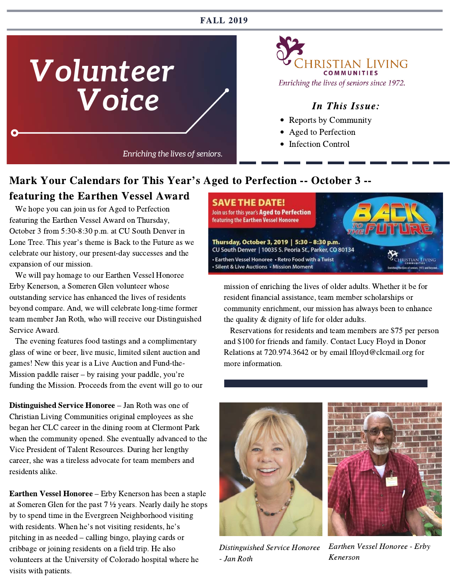#### FALL 2019



iristian Living **COMMUNITIES** 

- Reports by Community
- Aged to Perfection
- Infection Control

#### Mark Your Calendars for This Year's Aged to Perfection -- October 3 --

#### featuring the Earthen Vessel Award

 We hope you can join us for Aged to Perfection featuring the Earthen Vessel Award on Thursday, October 3 from 5:30-8:30 p.m. at CU South Denver in Lone Tree. This year's theme is Back to the Future as we celebrate our history, our present-day successes and the expansion of our mission.

 We will pay homage to our Earthen Vessel Honoree Erby Kenerson, a Someren Glen volunteer whose outstanding service has enhanced the lives of residents beyond compare. And, we will celebrate long-time former team member Jan Roth, who will receive our Distinguished Service Award.

 The evening features food tastings and a complimentary glass of wine or beer, live music, limited silent auction and games! New this year is a Live Auction and Fund-the-<br>Mission paddle raiser – by raising your paddle, you're funding the Mission. Proceeds from the event will go to our

Distinguished Service Honoree – Jan Roth was one of Christian Living Communities original employees as she began her CLC career in the dining room at Clermont Park when the community opened. She eventually advanced to the Vice President of Talent Resources. During her lengthy career, she was a tireless advocate for team members and residents alike.

Earthen Vessel Honoree – Erby Kenerson has been a staple at Someren Glen for the past 7 ½ years. Nearly daily he stops by to spend time in the Evergreen Neighborhood visiting with residents. When he's not visiting residents, he's pitching in as needed – calling bingo, playing cards or cribbage or joining residents on a field trip. He also volunteers at the University of Colorado hospital where he visits with patients.



mission of enriching the lives of older adults. Whether it be for resident financial assistance, team member scholarships or community enrichment, our mission has always been to enhance the quality & dignity of life for older adults.

 Reservations for residents and team members are \$75 per person and \$100 for friends and family. Contact Lucy Floyd in Donor Relations at 720.974.3642 or by email lfloyd@clcmail.org for more information.





Distinguished Service Honoree - Jan Roth

Earthen Vessel Honoree - Erby Kenerson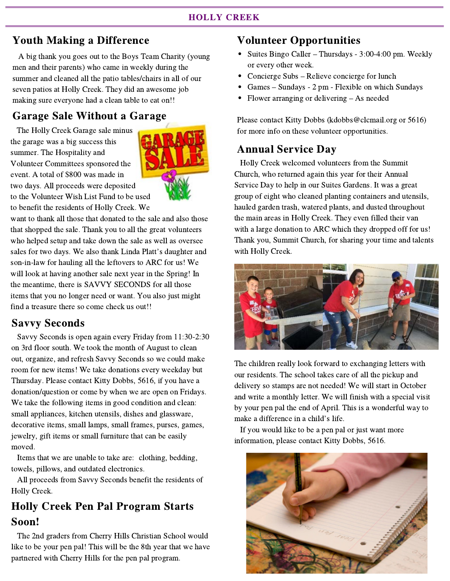#### Youth Making a Difference

 A big thank you goes out to the Boys Team Charity (young men and their parents) who came in weekly during the summer and cleaned all the patio tables/chairs in all of our seven patios at Holly Creek. They did an awesome job making sure everyone had a clean table to eat on!!

# Garage Sale Without a Garage

 The Holly Creek Garage sale minus the garage was a big success this summer. The Hospitality and Volunteer Committees sponsored the event. A total of \$800 was made in two days. All proceeds were deposited to the Volunteer Wish List Fund to be used to benefit the residents of Holly Creek. We



want to thank all those that donated to the sale and also those that shopped the sale. Thank you to all the great volunteers who helped setup and take down the sale as well as oversee sales for two days. We also thank Linda Platt's daughter and son-in-law for hauling all the leftovers to ARC for us! We will look at having another sale next year in the Spring! In the meantime, there is SAVVY SECONDS for all those items that you no longer need or want. You also just might find a treasure there so come check us out!!

#### Savvy Seconds

 Savvy Seconds is open again every Friday from 11:30-2:30 on 3rd floor south. We took the month of August to clean out, organize, and refresh Savvy Seconds so we could make room for new items! We take donations every weekday but Thursday. Please contact Kitty Dobbs, 5616, if you have a donation/question or come by when we are open on Fridays. We take the following items in good condition and clean: small appliances, kitchen utensils, dishes and glassware, decorative items, small lamps, small frames, purses, games, jewelry, gift items or small furniture that can be easily moved.

 Items that we are unable to take are: clothing, bedding, towels, pillows, and outdated electronics.

 All proceeds from Savvy Seconds benefit the residents of Holly Creek.

# Holly Creek Pen Pal Program Starts Soon!

 The 2nd graders from Cherry Hills Christian School would like to be your pen pal! This will be the 8th year that we have partnered with Cherry Hills for the pen pal program.

#### Volunteer Opportunities

- Suites Bingo Caller Thursdays 3:00-4:00 pm. Weekly or every other week.
- Concierge Subs Relieve concierge for lunch
- Games Sundays 2 pm Flexible on which Sundays
- Flower arranging or delivering As needed

Please contact Kitty Dobbs (kdobbs@clcmail.org or 5616) for more info on these volunteer opportunities.

#### Annual Service Day

 Holly Creek welcomed volunteers from the Summit Church, who returned again this year for their Annual Service Day to help in our Suites Gardens. It was a great group of eight who cleaned planting containers and utensils, hauled garden trash, watered plants, and dusted throughout the main areas in Holly Creek. They even filled their van with a large donation to ARC which they dropped off for us! Thank you, Summit Church, for sharing your time and talents with Holly Creek.



The children really look forward to exchanging letters with our residents. The school takes care of all the pickup and delivery so stamps are not needed! We will start in October and write a monthly letter. We will finish with a special visit by your pen pal the end of April. This is a wonderful way to make a difference in a child's life.

 If you would like to be a pen pal or just want more information, please contact Kitty Dobbs, 5616.

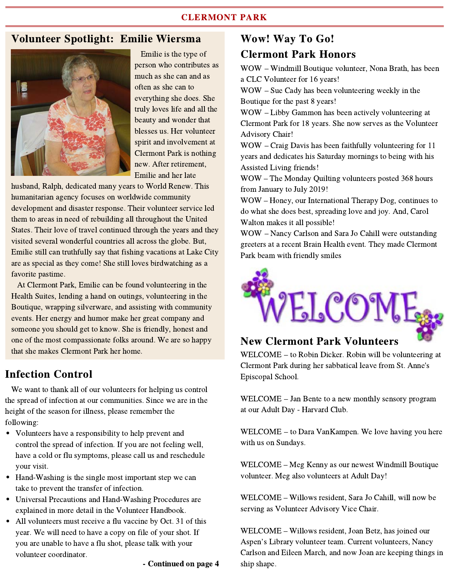#### Volunteer Spotlight: Emilie Wiersma



 Emilie is the type of person who contributes as much as she can and as often as she can to everything she does. She truly loves life and all the beauty and wonder that blesses us. Her volunteer spirit and involvement at Clermont Park is nothing new. After retirement, Emilie and her late

husband, Ralph, dedicated many years to World Renew. This humanitarian agency focuses on worldwide community development and disaster response. Their volunteer service led them to areas in need of rebuilding all throughout the United States. Their love of travel continued through the years and they visited several wonderful countries all across the globe. But, Emilie still can truthfully say that fishing vacations at Lake City are as special as they come! She still loves birdwatching as a favorite pastime.

 At Clermont Park, Emilie can be found volunteering in the Health Suites, lending a hand on outings, volunteering in the Boutique, wrapping silverware, and assisting with community events. Her energy and humor make her great company and someone you should get to know. She is friendly, honest and one of the most compassionate folks around. We are so happy that she makes Clermont Park her home.

#### Infection Control

 We want to thank all of our volunteers for helping us control the spread of infection at our communities. Since we are in the height of the season for illness, please remember the following:

- Volunteers have a responsibility to help prevent and control the spread of infection. If you are not feeling well, have a cold or flu symptoms, please call us and reschedule your visit.
- Hand-Washing is the single most important step we can take to prevent the transfer of infection.
- Universal Precautions and Hand-Washing Procedures are explained in more detail in the Volunteer Handbook.
- All volunteers must receive a flu vaccine by Oct. 31 of this year. We will need to have a copy on file of your shot. If you are unable to have a flu shot, please talk with your volunteer coordinator.

- Continued on page 4

#### Wow! Way To Go! Clermont Park Honors

WOW – Windmill Boutique volunteer, Nona Brath, has been a CLC Volunteer for 16 years!

WOW – Sue Cady has been volunteering weekly in the Boutique for the past 8 years!

WOW – Libby Gammon has been actively volunteering at Clermont Park for 18 years. She now serves as the Volunteer Advisory Chair!

WOW – Craig Davis has been faithfully volunteering for 11 years and dedicates his Saturday mornings to being with his Assisted Living friends!

WOW – The Monday Quilting volunteers posted 368 hours from January to July 2019!

WOW – Honey, our International Therapy Dog, continues to do what she does best, spreading love and joy. And, Carol Walton makes it all possible!

WOW – Nancy Carlson and Sara Jo Cahill were outstanding greeters at a recent Brain Health event. They made Clermont Park beam with friendly smiles



#### New Clermont Park Volunteers

WELCOME – to Robin Dicker. Robin will be volunteering at Clermont Park during her sabbatical leave from St. Anne's Episcopal School.

WELCOME – Jan Bente to a new monthly sensory program at our Adult Day - Harvard Club.

WELCOME – to Dara VanKampen. We love having you here with us on Sundays.

WELCOME – Meg Kenny as our newest Windmill Boutique volunteer. Meg also volunteers at Adult Day!

WELCOME – Willows resident, Sara Jo Cahill, will now be serving as Volunteer Advisory Vice Chair.

WELCOME – Willows resident, Joan Betz, has joined our Aspen's Library volunteer team. Current volunteers, Nancy Carlson and Eileen March, and now Joan are keeping things in ship shape.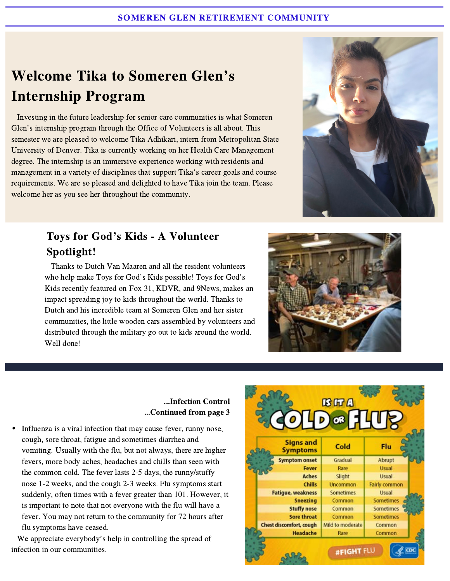# Welcome Tika to Someren Glen's Internship Program

 Investing in the future leadership for senior care communities is what Someren Glen's internship program through the Office of Volunteers is all about. This semester we are pleased to welcome Tika Adhikari, intern from Metropolitan State University of Denver. Tika is currently working on her Health Care Management degree. The internship is an immersive experience working with residents and management in a variety of disciplines that support Tika's career goals and course requirements. We are so pleased and delighted to have Tika join the team. Please welcome her as you see her throughout the community.



# Toys for God's Kids - A Volunteer Spotlight!

 Thanks to Dutch Van Maaren and all the resident volunteers who help make Toys for God's Kids possible! Toys for God's Kids recently featured on Fox 31, KDVR, and 9News, makes an impact spreading joy to kids throughout the world. Thanks to Dutch and his incredible team at Someren Glen and her sister communities, the little wooden cars assembled by volunteers and distributed through the military go out to kids around the world. Well done!



#### ...Infection Control ...Continued from page 3

Influenza is a viral infection that may cause fever, runny nose, cough, sore throat, fatigue and sometimes diarrhea and vomiting. Usually with the flu, but not always, there are higher fevers, more body aches, headaches and chills than seen with the common cold. The fever lasts 2-5 days, the runny/stuffy nose 1-2 weeks, and the cough 2-3 weeks. Flu symptoms start suddenly, often times with a fever greater than 101. However, it is important to note that not everyone with the flu will have a fever. You may not return to the community for 72 hours after flu symptoms have ceased.

 We appreciate everybody's help in controlling the spread of infection in our communities.